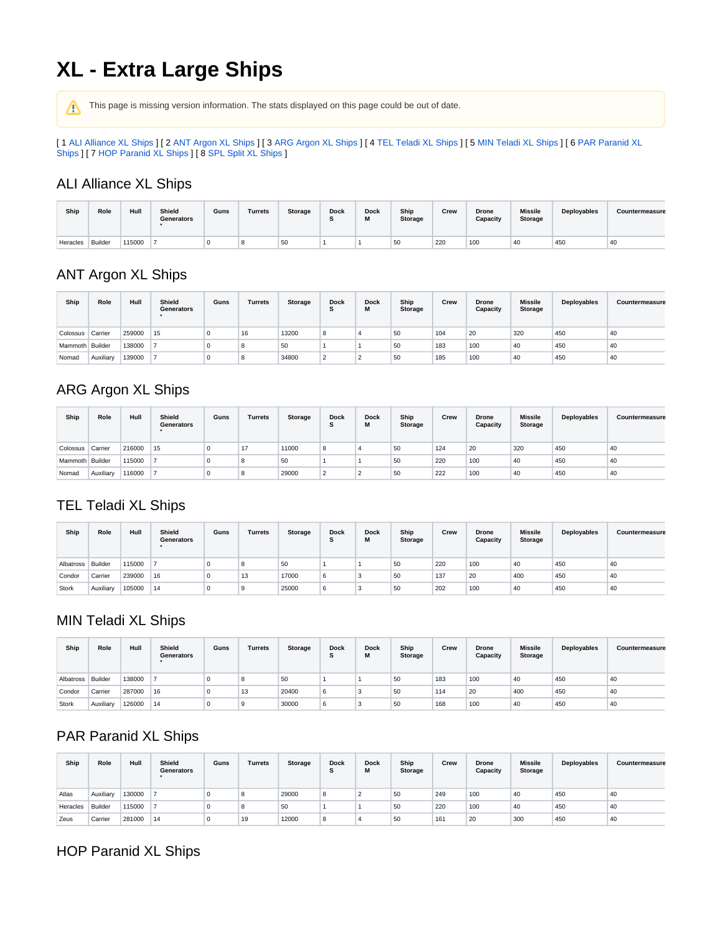# **XL - Extra Large Ships**

This page is missing version information. The stats displayed on this page could be out of date.

[ 1 [ALI Alliance XL Ships](#page-0-0) ] [ 2 [ANT Argon XL Ships](#page-0-1) ] [ 3 [ARG Argon XL Ships](#page-0-2) ] [ 4 [TEL Teladi XL Ships](#page-0-3) ] [ 5 [MIN Teladi XL Ships](#page-0-4) ] [ 6 [PAR Paranid XL](#page-0-5)  [Ships](#page-0-5) ] [ 7 [HOP Paranid XL Ships](#page-0-6) ] [ 8 [SPL Split XL Ships](#page-1-0) ]

#### <span id="page-0-0"></span>ALI Alliance XL Ships

| Ship     | Role    | Hull   | Shield<br>Generators | Guns | Turrets | <b>Storage</b> | <b>Dock</b><br>⊸ | <b>Dock</b><br><br>wı | Ship<br><b>Storage</b> | Crew | <b>Drone</b><br>Capacity | <b>Missile</b><br><b>Storage</b> | Deployables | Countermeasure |
|----------|---------|--------|----------------------|------|---------|----------------|------------------|-----------------------|------------------------|------|--------------------------|----------------------------------|-------------|----------------|
| Heracles | Builder | 115000 |                      |      |         | 50             |                  |                       | 50                     | 220  | 100                      | 40                               | 450         | `4U            |

# <span id="page-0-1"></span>ANT Argon XL Ships

| Ship            | Role      | Hull   | <b>Shield</b><br>Generators | Guns | Turrets | Storage | <b>Dock</b><br>Ð | <b>Dock</b> | Ship<br><b>Storage</b> | Crew | <b>Drone</b><br>Capacity | <b>Missile</b><br><b>Storage</b> | Deployables | Countermeasure |
|-----------------|-----------|--------|-----------------------------|------|---------|---------|------------------|-------------|------------------------|------|--------------------------|----------------------------------|-------------|----------------|
| Colossus        | Carrier   | 259000 | 15                          |      | 16      | 13200   | 8                |             | 50                     | 104  | 20                       | 320                              | 450         | 40             |
| Mammoth Builder |           | 138000 |                             |      | 8       | 50      |                  |             | 50                     | 183  | 100                      | 40                               | 450         | 40             |
| Nomad           | Auxiliary | 139000 |                             |      | 8       | 34800   | $\overline{2}$   |             | 50                     | 185  | 100                      | 40                               | 450         | 40             |

# <span id="page-0-2"></span>ARG Argon XL Ships

| Ship            | Role      | Hull   | Shield<br>Generators | Guns | Turrets | Storage | <b>Dock</b><br>$\cdot$ | <b>Dock</b><br>М | Ship<br><b>Storage</b> | Crew | <b>Drone</b><br>Capacity | <b>Missile</b><br>Storage | Deployables | Countermeasure |
|-----------------|-----------|--------|----------------------|------|---------|---------|------------------------|------------------|------------------------|------|--------------------------|---------------------------|-------------|----------------|
| Colossus        | Carrier   | 216000 | 15                   | O    | 17      | 11000   | 8                      |                  | 50                     | 124  | 20                       | 320                       | 450         | 40             |
| Mammoth Builder |           | 115000 |                      | 0    | 8       | 50      |                        |                  | 50                     | 220  | 100                      | 40                        | 450         | 40             |
| Nomad           | Auxiliary | 116000 |                      | O    | 8       | 29000   | n,                     |                  | 50                     | 222  | 100                      | 40                        | 450         | 40             |

#### <span id="page-0-3"></span>TEL Teladi XL Ships

| Ship              | Role      | Hull   | Shield<br>Generators | Guns | Turrets | Storage | <b>Dock</b><br>$\cdot$ | <b>Dock</b><br>М | Ship<br><b>Storage</b> | Crew | <b>Drone</b><br>Capacity | <b>Missile</b><br>Storage | Deployables | Countermeasure |
|-------------------|-----------|--------|----------------------|------|---------|---------|------------------------|------------------|------------------------|------|--------------------------|---------------------------|-------------|----------------|
| Albatross Builder |           | 115000 |                      | 0    | 8       | 50      |                        |                  | 50                     | 220  | 100                      | 40                        | 450         | 40             |
| Condor            | Carrier   | 239000 | 16                   | 0    | 13      | 17000   | 6                      |                  | 50                     | 137  | 20                       | 400                       | 450         | 40             |
| Stork             | Auxiliary | 105000 | 14                   | 0    | S       | 25000   | 6                      |                  | 50                     | 202  | 100                      | 40                        | 450         | 40             |

# <span id="page-0-4"></span>MIN Teladi XL Ships

| Ship              | Role      | Hull   | Shield<br>Generators | Guns     | Turrets | Storage | <b>Dock</b><br>$\cdot$ | <b>Dock</b><br>M<br>IVI | Ship<br><b>Storage</b> | Crew | <b>Drone</b><br>Capacity | <b>Missile</b><br>Storage | Deployables | Countermeasure |
|-------------------|-----------|--------|----------------------|----------|---------|---------|------------------------|-------------------------|------------------------|------|--------------------------|---------------------------|-------------|----------------|
| Albatross Builder |           | 138000 |                      | 0        | 8       | 50      |                        |                         | 50                     | 183  | 100                      | 40                        | 450         | 40             |
| Condor            | Carrier   | 287000 | 16                   | 0        | 13      | 20400   | 6                      | ×,                      | 50                     | 114  | 20                       | 400                       | 450         | 40             |
| Stork             | Auxiliary | 126000 | 14                   | $\Omega$ | g       | 30000   | 6                      |                         | 50                     | 168  | 100                      | 40                        | 450         | 40             |

# <span id="page-0-5"></span>PAR Paranid XL Ships

| Ship     | Role      | Hull   | Shield<br><b>Generators</b> | Guns | Turrets | Storage | <b>Dock</b><br>◠<br>۰ | <b>Dock</b><br>М | Ship<br><b>Storage</b> | Crew | <b>Drone</b><br>Capacity | <b>Missile</b><br><b>Storage</b> | Deployables | Countermeasure |
|----------|-----------|--------|-----------------------------|------|---------|---------|-----------------------|------------------|------------------------|------|--------------------------|----------------------------------|-------------|----------------|
| Atlas    | Auxiliarv | 130000 |                             | υ    | -8      | 29000   | 8                     |                  | 50                     | 249  | 100                      | 40                               | 450         | 40             |
| Heracles | Builder   | 115000 |                             | υ    | 8       | 50      |                       |                  | 50                     | 220  | 100                      | 40                               | 450         | 40             |
| Zeus     | Carrier   | 281000 | 14                          | υ    | 19      | 12000   | 8                     |                  | 50                     | 161  | 20                       | 300                              | 450         | 40             |

# <span id="page-0-6"></span>HOP Paranid XL Ships